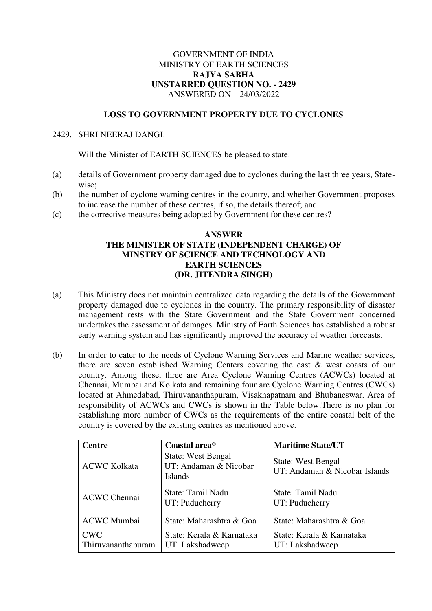## GOVERNMENT OF INDIA MINISTRY OF EARTH SCIENCES **RAJYA SABHA UNSTARRED QUESTION NO. - 2429**  ANSWERED ON – 24/03/2022

## **LOSS TO GOVERNMENT PROPERTY DUE TO CYCLONES**

## 2429. SHRI NEERAJ DANGI:

Will the Minister of EARTH SCIENCES be pleased to state:

- (a) details of Government property damaged due to cyclones during the last three years, Statewise;
- (b) the number of cyclone warning centres in the country, and whether Government proposes to increase the number of these centres, if so, the details thereof; and
- (c) the corrective measures being adopted by Government for these centres?

## **ANSWER THE MINISTER OF STATE (INDEPENDENT CHARGE) OF MINSTRY OF SCIENCE AND TECHNOLOGY AND EARTH SCIENCES (DR. JITENDRA SINGH)**

- (a) This Ministry does not maintain centralized data regarding the details of the Government property damaged due to cyclones in the country. The primary responsibility of disaster management rests with the State Government and the State Government concerned undertakes the assessment of damages. Ministry of Earth Sciences has established a robust early warning system and has significantly improved the accuracy of weather forecasts.
- (b) In order to cater to the needs of Cyclone Warning Services and Marine weather services, there are seven established Warning Centers covering the east & west coasts of our country. Among these, three are Area Cyclone Warning Centres (ACWCs) located at Chennai, Mumbai and Kolkata and remaining four are Cyclone Warning Centres (CWCs) located at Ahmedabad, Thiruvananthapuram, Visakhapatnam and Bhubaneswar. Area of responsibility of ACWCs and CWCs is shown in the Table below.There is no plan for establishing more number of CWCs as the requirements of the entire coastal belt of the country is covered by the existing centres as mentioned above.

| <b>Centre</b>                    | Coastal area*                                                        | <b>Maritime State/UT</b>                                   |
|----------------------------------|----------------------------------------------------------------------|------------------------------------------------------------|
| <b>ACWC Kolkata</b>              | <b>State: West Bengal</b><br>UT: Andaman & Nicobar<br><b>Islands</b> | <b>State: West Bengal</b><br>UT: Andaman & Nicobar Islands |
| <b>ACWC Chennai</b>              | State: Tamil Nadu<br>UT: Puducherry                                  | State: Tamil Nadu<br>UT: Puducherry                        |
| <b>ACWC</b> Mumbai               | State: Maharashtra & Goa                                             | State: Maharashtra & Goa                                   |
| <b>CWC</b><br>Thiruvananthapuram | State: Kerala & Karnataka<br>UT: Lakshadweep                         | State: Kerala & Karnataka<br>UT: Lakshadweep               |